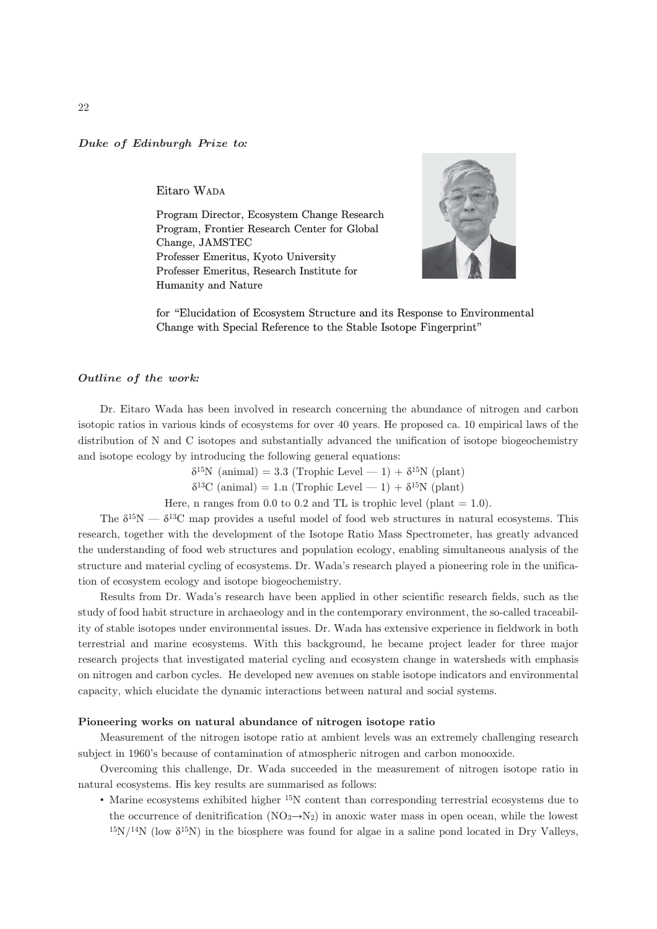## Duke of Edinburgh Prize to*:*

Eitaro WADA

Program Director, Ecosystem Change Research Program, Frontier Research Center for Global Change, JAMSTEC Professer Emeritus, Kyoto University Professer Emeritus, Research Institute for Humanity and Nature



for "Elucidation of Ecosystem Structure and its Response to Environmental Change with Special Reference to the Stable Isotope Fingerprint"

## Outline of the work*:*

Dr. Eitaro Wada has been involved in research concerning the abundance of nitrogen and carbon isotopic ratios in various kinds of ecosystems for over 40 years. He proposed ca. 10 empirical laws of the distribution of N and C isotopes and substantially advanced the unification of isotope biogeochemistry and isotope ecology by introducing the following general equations:

 $\delta^{15}N$  (animal) = 3.3 (Trophic Level — 1) +  $\delta^{15}N$  (plant)

 $\delta^{13}$ C (animal) = 1.n (Trophic Level - 1) +  $\delta^{15}$ N (plant)

Here, n ranges from 0.0 to 0.2 and TL is trophic level (plant  $= 1.0$ ).

The  $\delta^{15}N - \delta^{13}C$  map provides a useful model of food web structures in natural ecosystems. This research, together with the development of the Isotope Ratio Mass Spectrometer, has greatly advanced the understanding of food web structures and population ecology, enabling simultaneous analysis of the structure and material cycling of ecosystems. Dr. Wada's research played a pioneering role in the unification of ecosystem ecology and isotope biogeochemistry.

Results from Dr. Wada's research have been applied in other scientific research fields, such as the study of food habit structure in archaeology and in the contemporary environment, the so-called traceability of stable isotopes under environmental issues. Dr. Wada has extensive experience in fieldwork in both terrestrial and marine ecosystems. With this background, he became project leader for three major research projects that investigated material cycling and ecosystem change in watersheds with emphasis on nitrogen and carbon cycles. He developed new avenues on stable isotope indicators and environmental capacity, which elucidate the dynamic interactions between natural and social systems.

## Pioneering works on natural abundance of nitrogen isotope ratio

Measurement of the nitrogen isotope ratio at ambient levels was an extremely challenging research subject in 1960's because of contamination of atmospheric nitrogen and carbon monooxide.

Overcoming this challenge, Dr. Wada succeeded in the measurement of nitrogen isotope ratio in natural ecosystems. His key results are summarised as follows:

• Marine ecosystems exhibited higher 15N content than corresponding terrestrial ecosystems due to the occurrence of denitrification  $(NO_3 \rightarrow N_2)$  in anoxic water mass in open ocean, while the lowest  $15N/14N$  (low  $\delta^{15}N$ ) in the biosphere was found for algae in a saline pond located in Dry Valleys,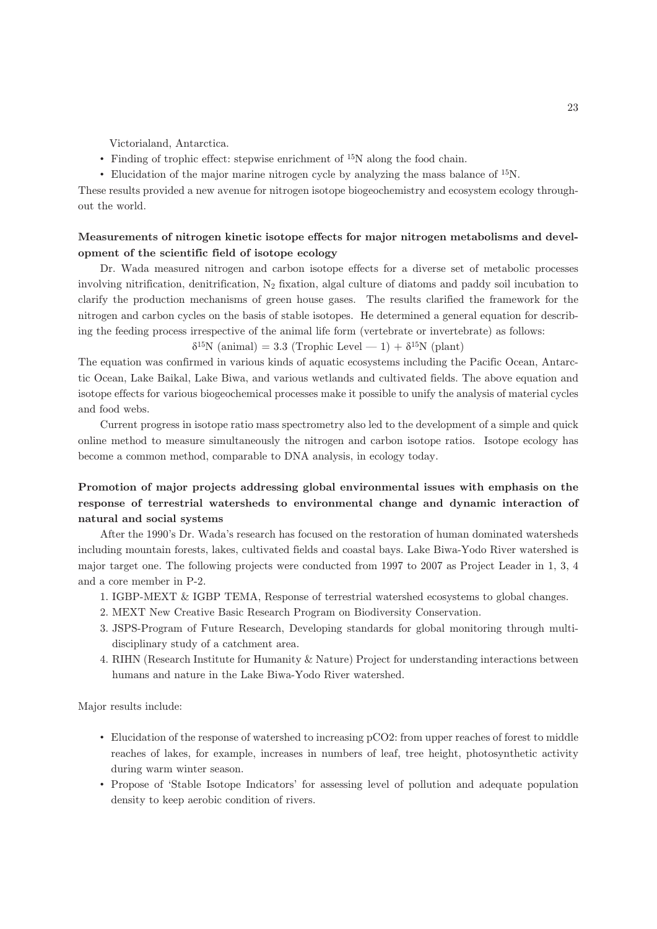Victorialand, Antarctica.

- Finding of trophic effect: stepwise enrichment of <sup>15</sup>N along the food chain.
- Elucidation of the major marine nitrogen cycle by analyzing the mass balance of 15N.

These results provided a new avenue for nitrogen isotope biogeochemistry and ecosystem ecology throughout the world.

## Measurements of nitrogen kinetic isotope effects for major nitrogen metabolisms and development of the scientific field of isotope ecology

Dr. Wada measured nitrogen and carbon isotope effects for a diverse set of metabolic processes involving nitrification, denitrification, N2 fixation, algal culture of diatoms and paddy soil incubation to clarify the production mechanisms of green house gases. The results clarified the framework for the nitrogen and carbon cycles on the basis of stable isotopes. He determined a general equation for describing the feeding process irrespective of the animal life form (vertebrate or invertebrate) as follows:

 $\delta^{15}N$  (animal) = 3.3 (Trophic Level — 1) +  $\delta^{15}N$  (plant)

The equation was confirmed in various kinds of aquatic ecosystems including the Pacific Ocean, Antarctic Ocean, Lake Baikal, Lake Biwa, and various wetlands and cultivated fields. The above equation and isotope effects for various biogeochemical processes make it possible to unify the analysis of material cycles and food webs.

Current progress in isotope ratio mass spectrometry also led to the development of a simple and quick online method to measure simultaneously the nitrogen and carbon isotope ratios. Isotope ecology has become a common method, comparable to DNA analysis, in ecology today.

# Promotion of major projects addressing global environmental issues with emphasis on the response of terrestrial watersheds to environmental change and dynamic interaction of natural and social systems

After the 1990's Dr. Wada's research has focused on the restoration of human dominated watersheds including mountain forests, lakes, cultivated fields and coastal bays. Lake Biwa-Yodo River watershed is major target one. The following projects were conducted from 1997 to 2007 as Project Leader in 1, 3, 4 and a core member in P-2.

- 1. IGBP-MEXT & IGBP TEMA, Response of terrestrial watershed ecosystems to global changes.
- 2. MEXT New Creative Basic Research Program on Biodiversity Conservation.
- 3. JSPS-Program of Future Research, Developing standards for global monitoring through multidisciplinary study of a catchment area.
- 4. RIHN (Research Institute for Humanity & Nature) Project for understanding interactions between humans and nature in the Lake Biwa-Yodo River watershed.

Major results include:

- Elucidation of the response of watershed to increasing pCO2: from upper reaches of forest to middle reaches of lakes, for example, increases in numbers of leaf, tree height, photosynthetic activity during warm winter season.
- Propose of 'Stable Isotope Indicators' for assessing level of pollution and adequate population density to keep aerobic condition of rivers.